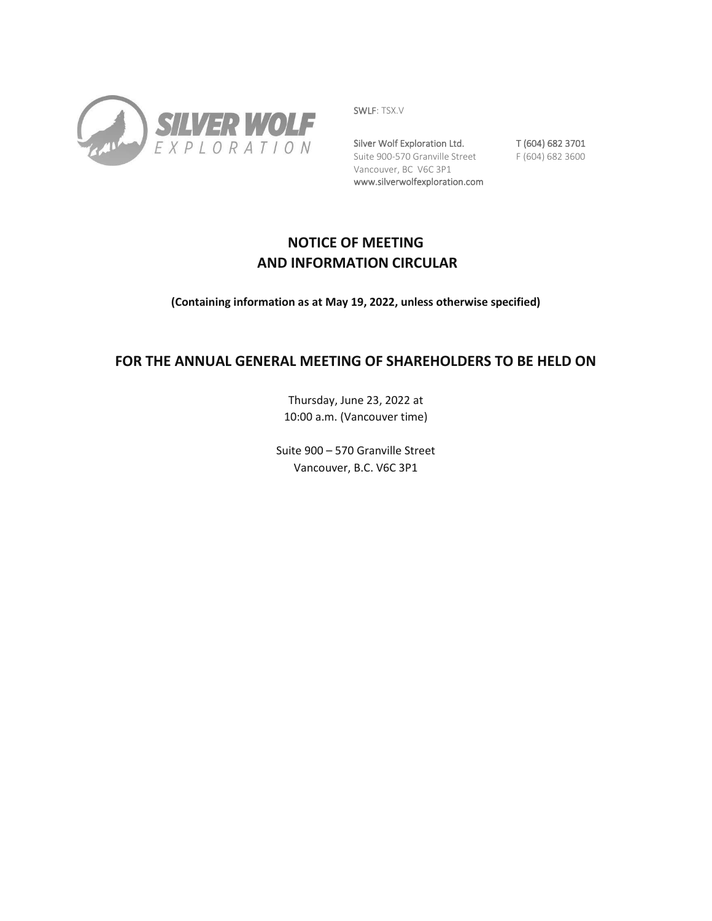

SWLF: TSX.V

Silver Wolf Exploration Ltd. T (604) 682 3701 Suite 900-570 Granville Street F (604) 682 3600 Vancouver, BC V6C 3P1 www.silverwolfexploration.com

# **NOTICE OF MEETING AND INFORMATION CIRCULAR**

**(Containing information as at May 19, 2022, unless otherwise specified)** 

# **FOR THE ANNUAL GENERAL MEETING OF SHAREHOLDERS TO BE HELD ON**

Thursday, June 23, 2022 at 10:00 a.m. (Vancouver time)

Suite 900 – 570 Granville Street Vancouver, B.C. V6C 3P1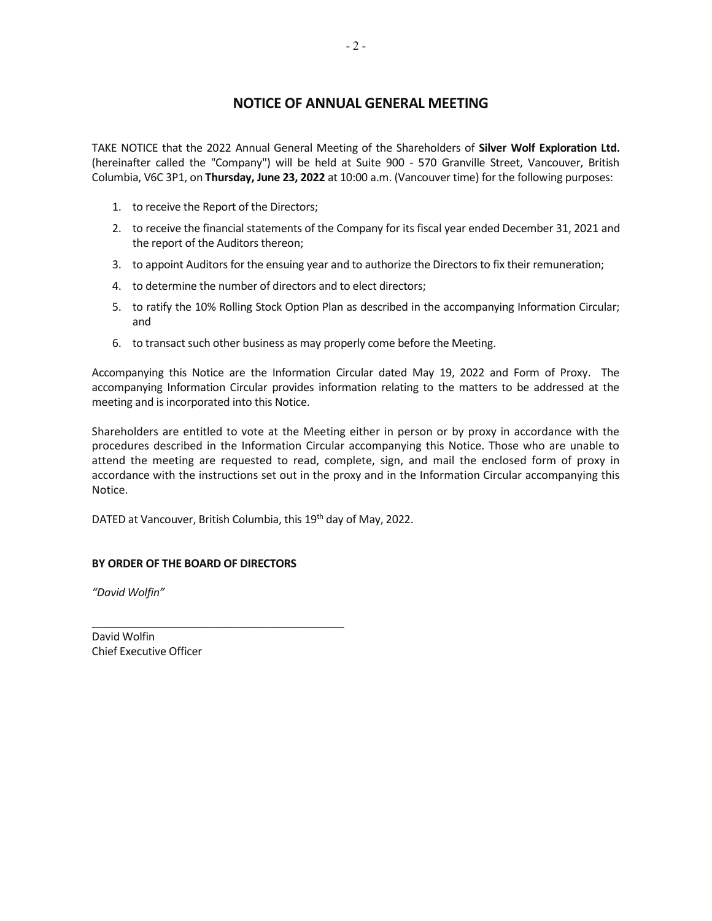## **NOTICE OF ANNUAL GENERAL MEETING**

TAKE NOTICE that the 2022 Annual General Meeting of the Shareholders of **Silver Wolf Exploration Ltd.** (hereinafter called the "Company") will be held at Suite 900 - 570 Granville Street, Vancouver, British Columbia, V6C 3P1, on **Thursday, June 23, 2022** at 10:00 a.m. (Vancouver time) for the following purposes:

- 1. to receive the Report of the Directors;
- 2. to receive the financial statements of the Company for its fiscal year ended December 31, 2021 and the report of the Auditors thereon;
- 3. to appoint Auditors for the ensuing year and to authorize the Directors to fix their remuneration;
- 4. to determine the number of directors and to elect directors;
- 5. to ratify the 10% Rolling Stock Option Plan as described in the accompanying Information Circular; and
- 6. to transact such other business as may properly come before the Meeting.

Accompanying this Notice are the Information Circular dated May 19, 2022 and Form of Proxy. The accompanying Information Circular provides information relating to the matters to be addressed at the meeting and is incorporated into this Notice.

Shareholders are entitled to vote at the Meeting either in person or by proxy in accordance with the procedures described in the Information Circular accompanying this Notice. Those who are unable to attend the meeting are requested to read, complete, sign, and mail the enclosed form of proxy in accordance with the instructions set out in the proxy and in the Information Circular accompanying this Notice.

DATED at Vancouver, British Columbia, this 19<sup>th</sup> day of May, 2022.

## **BY ORDER OF THE BOARD OF DIRECTORS**

\_\_\_\_\_\_\_\_\_\_\_\_\_\_\_\_\_\_\_\_\_\_\_\_\_\_\_\_\_\_\_\_\_\_\_\_\_\_\_\_\_\_

*"David Wolfin"* 

David Wolfin Chief Executive Officer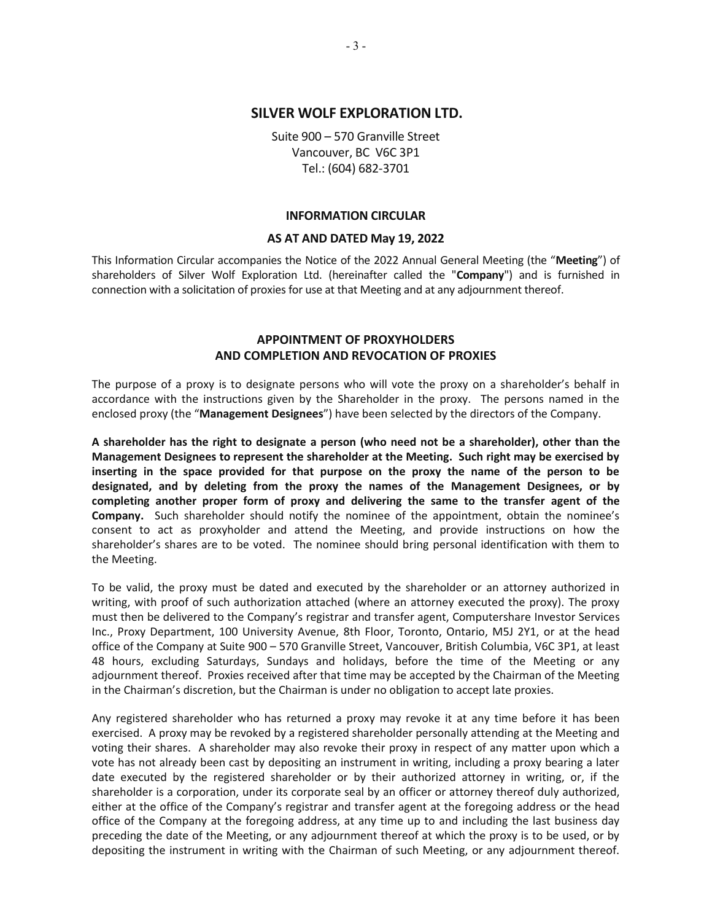## **SILVER WOLF EXPLORATION LTD.**

Suite 900 – 570 Granville Street Vancouver, BC V6C 3P1 Tel.: (604) 682-3701

#### **INFORMATION CIRCULAR**

#### **AS AT AND DATED May 19, 2022**

This Information Circular accompanies the Notice of the 2022 Annual General Meeting (the "**Meeting**") of shareholders of Silver Wolf Exploration Ltd. (hereinafter called the "**Company**") and is furnished in connection with a solicitation of proxies for use at that Meeting and at any adjournment thereof.

## **APPOINTMENT OF PROXYHOLDERS AND COMPLETION AND REVOCATION OF PROXIES**

The purpose of a proxy is to designate persons who will vote the proxy on a shareholder's behalf in accordance with the instructions given by the Shareholder in the proxy. The persons named in the enclosed proxy (the "**Management Designees**") have been selected by the directors of the Company.

**A shareholder has the right to designate a person (who need not be a shareholder), other than the Management Designees to represent the shareholder at the Meeting. Such right may be exercised by inserting in the space provided for that purpose on the proxy the name of the person to be designated, and by deleting from the proxy the names of the Management Designees, or by completing another proper form of proxy and delivering the same to the transfer agent of the Company.** Such shareholder should notify the nominee of the appointment, obtain the nominee's consent to act as proxyholder and attend the Meeting, and provide instructions on how the shareholder's shares are to be voted. The nominee should bring personal identification with them to the Meeting.

To be valid, the proxy must be dated and executed by the shareholder or an attorney authorized in writing, with proof of such authorization attached (where an attorney executed the proxy). The proxy must then be delivered to the Company's registrar and transfer agent, Computershare Investor Services Inc., Proxy Department, 100 University Avenue, 8th Floor, Toronto, Ontario, M5J 2Y1, or at the head office of the Company at Suite 900 – 570 Granville Street, Vancouver, British Columbia, V6C 3P1, at least 48 hours, excluding Saturdays, Sundays and holidays, before the time of the Meeting or any adjournment thereof. Proxies received after that time may be accepted by the Chairman of the Meeting in the Chairman's discretion, but the Chairman is under no obligation to accept late proxies.

Any registered shareholder who has returned a proxy may revoke it at any time before it has been exercised. A proxy may be revoked by a registered shareholder personally attending at the Meeting and voting their shares. A shareholder may also revoke their proxy in respect of any matter upon which a vote has not already been cast by depositing an instrument in writing, including a proxy bearing a later date executed by the registered shareholder or by their authorized attorney in writing, or, if the shareholder is a corporation, under its corporate seal by an officer or attorney thereof duly authorized, either at the office of the Company's registrar and transfer agent at the foregoing address or the head office of the Company at the foregoing address, at any time up to and including the last business day preceding the date of the Meeting, or any adjournment thereof at which the proxy is to be used, or by depositing the instrument in writing with the Chairman of such Meeting, or any adjournment thereof.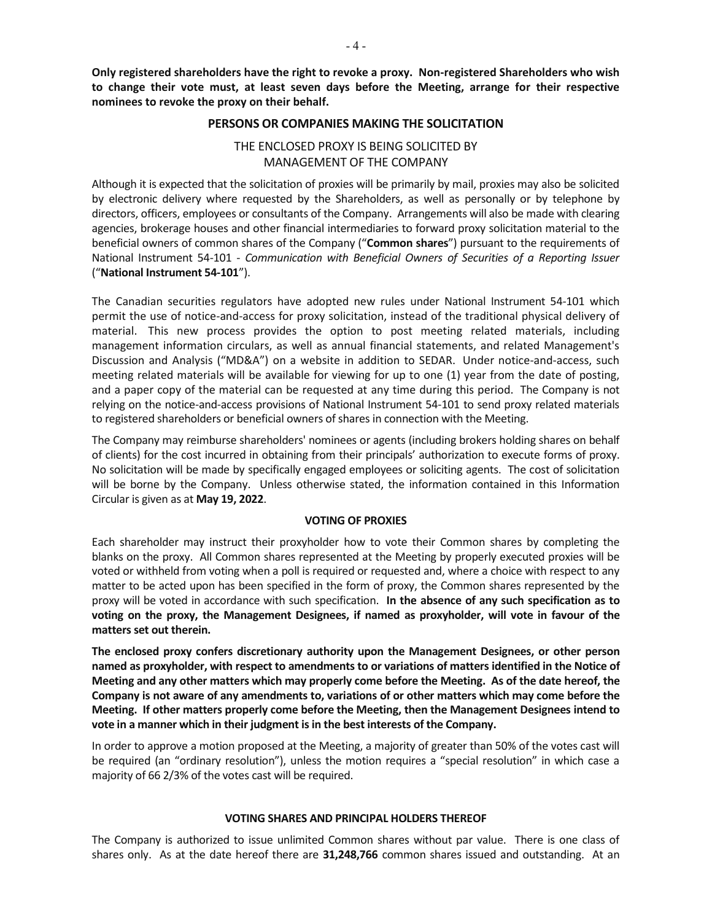**Only registered shareholders have the right to revoke a proxy. Non-registered Shareholders who wish to change their vote must, at least seven days before the Meeting, arrange for their respective nominees to revoke the proxy on their behalf.**

#### **PERSONS OR COMPANIES MAKING THE SOLICITATION**

## THE ENCLOSED PROXY IS BEING SOLICITED BY MANAGEMENT OF THE COMPANY

Although it is expected that the solicitation of proxies will be primarily by mail, proxies may also be solicited by electronic delivery where requested by the Shareholders, as well as personally or by telephone by directors, officers, employees or consultants of the Company. Arrangements will also be made with clearing agencies, brokerage houses and other financial intermediaries to forward proxy solicitation material to the beneficial owners of common shares of the Company ("**Common shares**") pursuant to the requirements of National Instrument 54-101 - *Communication with Beneficial Owners of Securities of a Reporting Issuer* ("**National Instrument 54-101**").

The Canadian securities regulators have adopted new rules under National Instrument 54-101 which permit the use of notice-and-access for proxy solicitation, instead of the traditional physical delivery of material. This new process provides the option to post meeting related materials, including management information circulars, as well as annual financial statements, and related Management's Discussion and Analysis ("MD&A") on a website in addition to SEDAR. Under notice-and-access, such meeting related materials will be available for viewing for up to one (1) year from the date of posting, and a paper copy of the material can be requested at any time during this period. The Company is not relying on the notice-and-access provisions of National Instrument 54-101 to send proxy related materials to registered shareholders or beneficial owners of shares in connection with the Meeting.

The Company may reimburse shareholders' nominees or agents (including brokers holding shares on behalf of clients) for the cost incurred in obtaining from their principals' authorization to execute forms of proxy. No solicitation will be made by specifically engaged employees or soliciting agents. The cost of solicitation will be borne by the Company. Unless otherwise stated, the information contained in this Information Circular is given as at **May 19, 2022**.

### **VOTING OF PROXIES**

Each shareholder may instruct their proxyholder how to vote their Common shares by completing the blanks on the proxy. All Common shares represented at the Meeting by properly executed proxies will be voted or withheld from voting when a poll is required or requested and, where a choice with respect to any matter to be acted upon has been specified in the form of proxy, the Common shares represented by the proxy will be voted in accordance with such specification. **In the absence of any such specification as to voting on the proxy, the Management Designees, if named as proxyholder, will vote in favour of the matters set out therein.** 

**The enclosed proxy confers discretionary authority upon the Management Designees, or other person named as proxyholder, with respect to amendments to or variations of matters identified in the Notice of Meeting and any other matters which may properly come before the Meeting. As of the date hereof, the Company is not aware of any amendments to, variations of or other matters which may come before the Meeting. If other matters properly come before the Meeting, then the Management Designees intend to vote in a manner which in their judgment is in the best interests of the Company.** 

In order to approve a motion proposed at the Meeting, a majority of greater than 50% of the votes cast will be required (an "ordinary resolution"), unless the motion requires a "special resolution" in which case a majority of 66 2/3% of the votes cast will be required.

### **VOTING SHARES AND PRINCIPAL HOLDERS THEREOF**

The Company is authorized to issue unlimited Common shares without par value. There is one class of shares only. As at the date hereof there are **31,248,766** common shares issued and outstanding. At an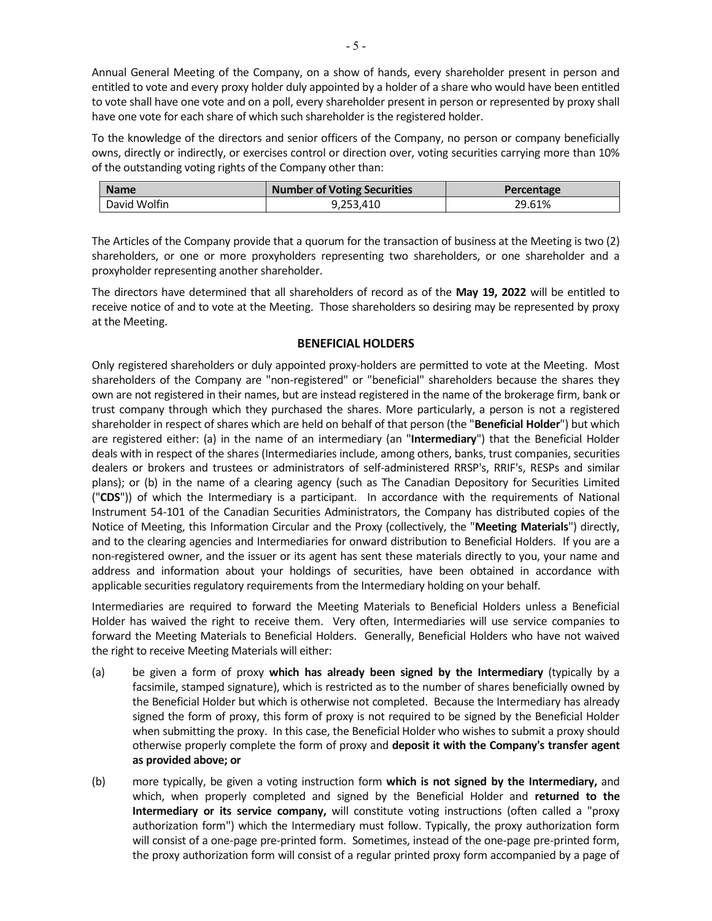Annual General Meeting of the Company, on a show of hands, every shareholder present in person and entitled to vote and every proxy holder duly appointed by a holder of a share who would have been entitled to vote shall have one vote and on a poll, every shareholder present in person or represented by proxy shall have one vote for each share of which such shareholder is the registered holder.

To the knowledge of the directors and senior officers of the Company, no person or company beneficially owns, directly or indirectly, or exercises control or direction over, voting securities carrying more than 10% of the outstanding voting rights of the Company other than:

| <b>Name</b>  | <b>Number of Voting Securities</b> | Percentage |
|--------------|------------------------------------|------------|
| David Wolfin | 9,253,410                          | 29.61%     |

The Articles of the Company provide that a quorum for the transaction of business at the Meeting is two (2) shareholders, or one or more proxyholders representing two shareholders, or one shareholder and a proxyholder representing another shareholder.

The directors have determined that all shareholders of record as of the **May 19, 2022** will be entitled to receive notice of and to vote at the Meeting. Those shareholders so desiring may be represented by proxy at the Meeting.

## **BENEFICIAL HOLDERS**

Only registered shareholders or duly appointed proxy-holders are permitted to vote at the Meeting. Most shareholders of the Company are "non-registered" or "beneficial" shareholders because the shares they own are not registered in their names, but are instead registered in the name of the brokerage firm, bank or trust company through which they purchased the shares. More particularly, a person is not a registered shareholder in respect of shares which are held on behalf of that person (the "**Beneficial Holder**") but which are registered either: (a) in the name of an intermediary (an "**Intermediary**") that the Beneficial Holder deals with in respect of the shares (Intermediaries include, among others, banks, trust companies, securities dealers or brokers and trustees or administrators of self-administered RRSP's, RRIF's, RESPs and similar plans); or (b) in the name of a clearing agency (such as The Canadian Depository for Securities Limited ("**CDS**")) of which the Intermediary is a participant. In accordance with the requirements of National Instrument 54-101 of the Canadian Securities Administrators, the Company has distributed copies of the Notice of Meeting, this Information Circular and the Proxy (collectively, the "**Meeting Materials**") directly, and to the clearing agencies and Intermediaries for onward distribution to Beneficial Holders. If you are a non-registered owner, and the issuer or its agent has sent these materials directly to you, your name and address and information about your holdings of securities, have been obtained in accordance with applicable securities regulatory requirements from the Intermediary holding on your behalf.

Intermediaries are required to forward the Meeting Materials to Beneficial Holders unless a Beneficial Holder has waived the right to receive them. Very often, Intermediaries will use service companies to forward the Meeting Materials to Beneficial Holders. Generally, Beneficial Holders who have not waived the right to receive Meeting Materials will either:

- (a) be given a form of proxy **which has already been signed by the Intermediary** (typically by a facsimile, stamped signature), which is restricted as to the number of shares beneficially owned by the Beneficial Holder but which is otherwise not completed. Because the Intermediary has already signed the form of proxy, this form of proxy is not required to be signed by the Beneficial Holder when submitting the proxy. In this case, the Beneficial Holder who wishes to submit a proxy should otherwise properly complete the form of proxy and **deposit it with the Company's transfer agent as provided above; or**
- (b) more typically, be given a voting instruction form **which is not signed by the Intermediary,** and which, when properly completed and signed by the Beneficial Holder and **returned to the Intermediary or its service company,** will constitute voting instructions (often called a "proxy authorization form") which the Intermediary must follow. Typically, the proxy authorization form will consist of a one-page pre-printed form. Sometimes, instead of the one-page pre-printed form, the proxy authorization form will consist of a regular printed proxy form accompanied by a page of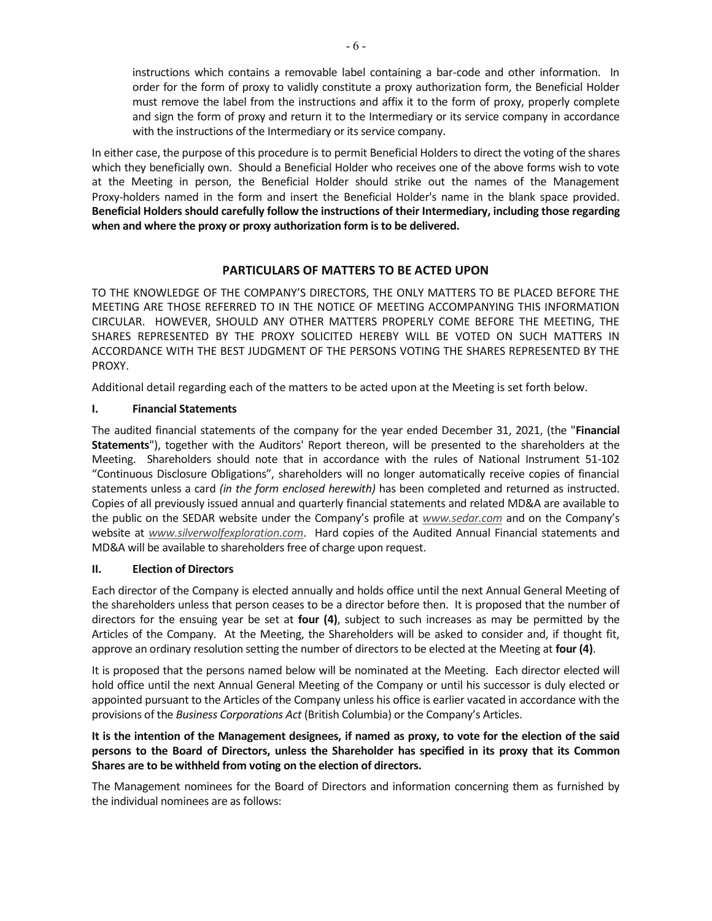instructions which contains a removable label containing a bar-code and other information. In order for the form of proxy to validly constitute a proxy authorization form, the Beneficial Holder must remove the label from the instructions and affix it to the form of proxy, properly complete and sign the form of proxy and return it to the Intermediary or its service company in accordance with the instructions of the Intermediary or its service company.

In either case, the purpose of this procedure is to permit Beneficial Holders to direct the voting of the shares which they beneficially own. Should a Beneficial Holder who receives one of the above forms wish to vote at the Meeting in person, the Beneficial Holder should strike out the names of the Management Proxy-holders named in the form and insert the Beneficial Holder's name in the blank space provided. **Beneficial Holders should carefully follow the instructions of their Intermediary, including those regarding when and where the proxy or proxy authorization form is to be delivered.**

## **PARTICULARS OF MATTERS TO BE ACTED UPON**

TO THE KNOWLEDGE OF THE COMPANY'S DIRECTORS, THE ONLY MATTERS TO BE PLACED BEFORE THE MEETING ARE THOSE REFERRED TO IN THE NOTICE OF MEETING ACCOMPANYING THIS INFORMATION CIRCULAR. HOWEVER, SHOULD ANY OTHER MATTERS PROPERLY COME BEFORE THE MEETING, THE SHARES REPRESENTED BY THE PROXY SOLICITED HEREBY WILL BE VOTED ON SUCH MATTERS IN ACCORDANCE WITH THE BEST JUDGMENT OF THE PERSONS VOTING THE SHARES REPRESENTED BY THE PROXY.

Additional detail regarding each of the matters to be acted upon at the Meeting is set forth below.

## **I. Financial Statements**

The audited financial statements of the company for the year ended December 31, 2021, (the "**Financial Statements**"), together with the Auditors' Report thereon, will be presented to the shareholders at the Meeting. Shareholders should note that in accordance with the rules of National Instrument 51-102 "Continuous Disclosure Obligations", shareholders will no longer automatically receive copies of financial statements unless a card *(in the form enclosed herewith)* has been completed and returned as instructed. Copies of all previously issued annual and quarterly financial statements and related MD&A are available to the public on the SEDAR website under the Company's profile at *www.sedar.com* and on the Company's website at *www.silverwolfexploration.com*. Hard copies of the Audited Annual Financial statements and MD&A will be available to shareholders free of charge upon request.

### **II. Election of Directors**

Each director of the Company is elected annually and holds office until the next Annual General Meeting of the shareholders unless that person ceases to be a director before then. It is proposed that the number of directors for the ensuing year be set at **four (4)**, subject to such increases as may be permitted by the Articles of the Company. At the Meeting, the Shareholders will be asked to consider and, if thought fit, approve an ordinary resolution setting the number of directors to be elected at the Meeting at **four (4)**.

It is proposed that the persons named below will be nominated at the Meeting. Each director elected will hold office until the next Annual General Meeting of the Company or until his successor is duly elected or appointed pursuant to the Articles of the Company unless his office is earlier vacated in accordance with the provisions of the *Business Corporations Act* (British Columbia) or the Company's Articles.

## **It is the intention of the Management designees, if named as proxy, to vote for the election of the said persons to the Board of Directors, unless the Shareholder has specified in its proxy that its Common Shares are to be withheld from voting on the election of directors.**

The Management nominees for the Board of Directors and information concerning them as furnished by the individual nominees are as follows: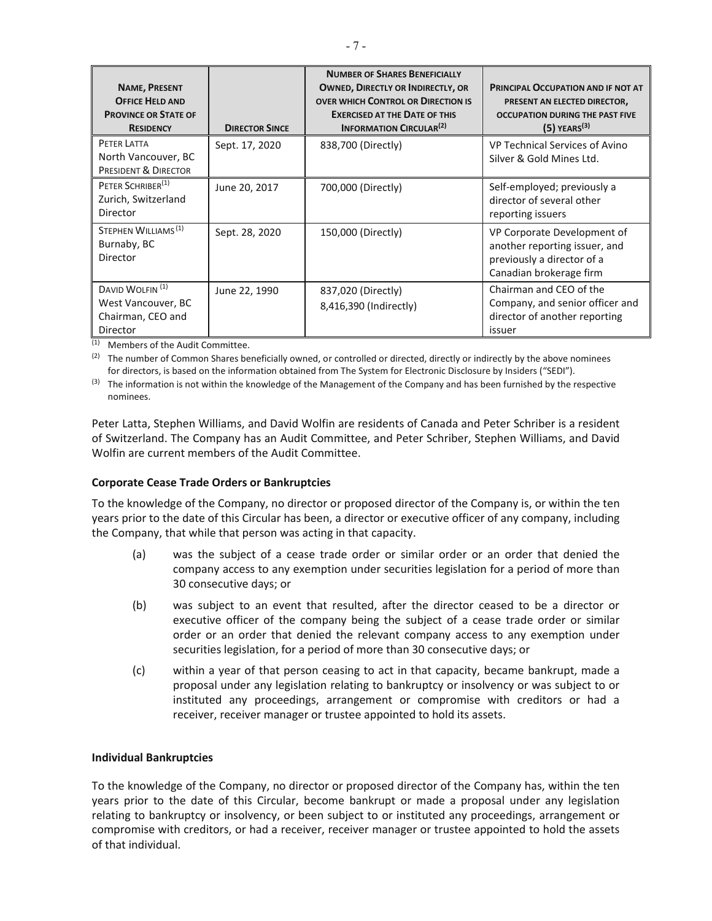| <b>NAME, PRESENT</b><br><b>OFFICE HELD AND</b><br><b>PROVINCE OR STATE OF</b><br><b>RESIDENCY</b> | <b>DIRECTOR SINCE</b> | <b>NUMBER OF SHARES BENEFICIALLY</b><br><b>OWNED, DIRECTLY OR INDIRECTLY, OR</b><br><b>OVER WHICH CONTROL OR DIRECTION IS</b><br><b>EXERCISED AT THE DATE OF THIS</b><br><b>INFORMATION CIRCULAR<sup>(2)</sup></b> | PRINCIPAL OCCUPATION AND IF NOT AT<br>PRESENT AN ELECTED DIRECTOR,<br><b>OCCUPATION DURING THE PAST FIVE</b><br>$(5)$ YEARS <sup>(3)</sup> |
|---------------------------------------------------------------------------------------------------|-----------------------|--------------------------------------------------------------------------------------------------------------------------------------------------------------------------------------------------------------------|--------------------------------------------------------------------------------------------------------------------------------------------|
| PETER LATTA<br>North Vancouver, BC<br>PRESIDENT & DIRECTOR                                        | Sept. 17, 2020        | 838,700 (Directly)                                                                                                                                                                                                 | VP Technical Services of Avino<br>Silver & Gold Mines Ltd.                                                                                 |
| PETER SCHRIBER <sup>(1)</sup><br>Zurich, Switzerland<br>Director                                  | June 20, 2017         | 700,000 (Directly)                                                                                                                                                                                                 | Self-employed; previously a<br>director of several other<br>reporting issuers                                                              |
| STEPHEN WILLIAMS <sup>(1)</sup><br>Burnaby, BC<br>Director                                        | Sept. 28, 2020        | 150,000 (Directly)                                                                                                                                                                                                 | VP Corporate Development of<br>another reporting issuer, and<br>previously a director of a<br>Canadian brokerage firm                      |
| DAVID WOLFIN <sup>(1)</sup><br>West Vancouver, BC<br>Chairman, CEO and<br>Director                | June 22, 1990         | 837,020 (Directly)<br>8,416,390 (Indirectly)                                                                                                                                                                       | Chairman and CEO of the<br>Company, and senior officer and<br>director of another reporting<br>issuer                                      |

(1) Members of the Audit Committee.

<sup>(2)</sup> The number of Common Shares beneficially owned, or controlled or directed, directly or indirectly by the above nominees for directors, is based on the information obtained from The System for Electronic Disclosure by Insiders ("SEDI").

(3) The information is not within the knowledge of the Management of the Company and has been furnished by the respective nominees.

Peter Latta, Stephen Williams, and David Wolfin are residents of Canada and Peter Schriber is a resident of Switzerland. The Company has an Audit Committee, and Peter Schriber, Stephen Williams, and David Wolfin are current members of the Audit Committee.

### **Corporate Cease Trade Orders or Bankruptcies**

To the knowledge of the Company, no director or proposed director of the Company is, or within the ten years prior to the date of this Circular has been, a director or executive officer of any company, including the Company, that while that person was acting in that capacity.

- (a) was the subject of a cease trade order or similar order or an order that denied the company access to any exemption under securities legislation for a period of more than 30 consecutive days; or
- (b) was subject to an event that resulted, after the director ceased to be a director or executive officer of the company being the subject of a cease trade order or similar order or an order that denied the relevant company access to any exemption under securities legislation, for a period of more than 30 consecutive days; or
- (c) within a year of that person ceasing to act in that capacity, became bankrupt, made a proposal under any legislation relating to bankruptcy or insolvency or was subject to or instituted any proceedings, arrangement or compromise with creditors or had a receiver, receiver manager or trustee appointed to hold its assets.

#### **Individual Bankruptcies**

To the knowledge of the Company, no director or proposed director of the Company has, within the ten years prior to the date of this Circular, become bankrupt or made a proposal under any legislation relating to bankruptcy or insolvency, or been subject to or instituted any proceedings, arrangement or compromise with creditors, or had a receiver, receiver manager or trustee appointed to hold the assets of that individual.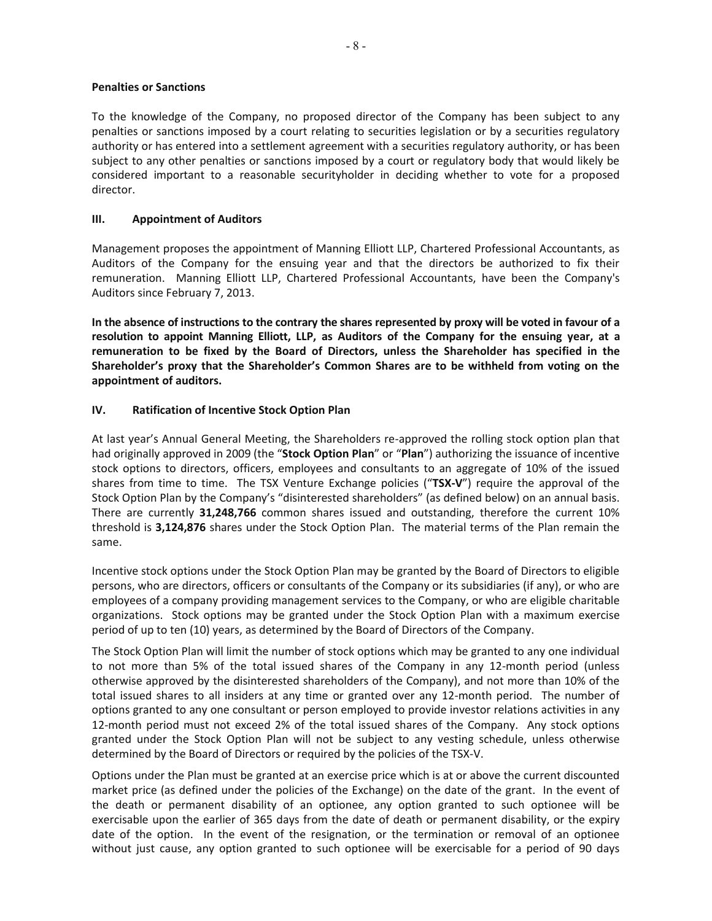#### **Penalties or Sanctions**

To the knowledge of the Company, no proposed director of the Company has been subject to any penalties or sanctions imposed by a court relating to securities legislation or by a securities regulatory authority or has entered into a settlement agreement with a securities regulatory authority, or has been subject to any other penalties or sanctions imposed by a court or regulatory body that would likely be considered important to a reasonable securityholder in deciding whether to vote for a proposed director.

#### **III. Appointment of Auditors**

Management proposes the appointment of Manning Elliott LLP, Chartered Professional Accountants, as Auditors of the Company for the ensuing year and that the directors be authorized to fix their remuneration. Manning Elliott LLP, Chartered Professional Accountants, have been the Company's Auditors since February 7, 2013.

**In the absence of instructions to the contrary the shares represented by proxy will be voted in favour of a resolution to appoint Manning Elliott, LLP, as Auditors of the Company for the ensuing year, at a remuneration to be fixed by the Board of Directors, unless the Shareholder has specified in the Shareholder's proxy that the Shareholder's Common Shares are to be withheld from voting on the appointment of auditors.** 

### **IV. Ratification of Incentive Stock Option Plan**

At last year's Annual General Meeting, the Shareholders re-approved the rolling stock option plan that had originally approved in 2009 (the "**Stock Option Plan**" or "**Plan**") authorizing the issuance of incentive stock options to directors, officers, employees and consultants to an aggregate of 10% of the issued shares from time to time. The TSX Venture Exchange policies ("**TSX-V**") require the approval of the Stock Option Plan by the Company's "disinterested shareholders" (as defined below) on an annual basis. There are currently **31,248,766** common shares issued and outstanding, therefore the current 10% threshold is **3,124,876** shares under the Stock Option Plan. The material terms of the Plan remain the same.

Incentive stock options under the Stock Option Plan may be granted by the Board of Directors to eligible persons, who are directors, officers or consultants of the Company or its subsidiaries (if any), or who are employees of a company providing management services to the Company, or who are eligible charitable organizations. Stock options may be granted under the Stock Option Plan with a maximum exercise period of up to ten (10) years, as determined by the Board of Directors of the Company.

The Stock Option Plan will limit the number of stock options which may be granted to any one individual to not more than 5% of the total issued shares of the Company in any 12-month period (unless otherwise approved by the disinterested shareholders of the Company), and not more than 10% of the total issued shares to all insiders at any time or granted over any 12-month period. The number of options granted to any one consultant or person employed to provide investor relations activities in any 12-month period must not exceed 2% of the total issued shares of the Company. Any stock options granted under the Stock Option Plan will not be subject to any vesting schedule, unless otherwise determined by the Board of Directors or required by the policies of the TSX-V.

Options under the Plan must be granted at an exercise price which is at or above the current discounted market price (as defined under the policies of the Exchange) on the date of the grant. In the event of the death or permanent disability of an optionee, any option granted to such optionee will be exercisable upon the earlier of 365 days from the date of death or permanent disability, or the expiry date of the option. In the event of the resignation, or the termination or removal of an optionee without just cause, any option granted to such optionee will be exercisable for a period of 90 days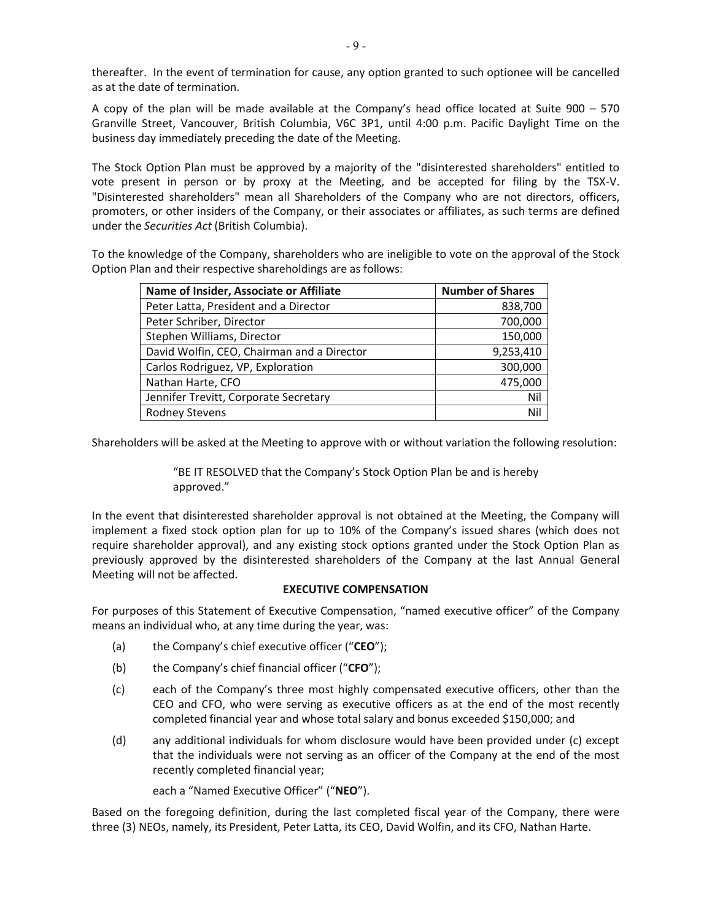thereafter. In the event of termination for cause, any option granted to such optionee will be cancelled as at the date of termination.

A copy of the plan will be made available at the Company's head office located at Suite 900 – 570 Granville Street, Vancouver, British Columbia, V6C 3P1, until 4:00 p.m. Pacific Daylight Time on the business day immediately preceding the date of the Meeting.

The Stock Option Plan must be approved by a majority of the "disinterested shareholders" entitled to vote present in person or by proxy at the Meeting, and be accepted for filing by the TSX-V. "Disinterested shareholders" mean all Shareholders of the Company who are not directors, officers, promoters, or other insiders of the Company, or their associates or affiliates, as such terms are defined under the *Securities Act* (British Columbia).

To the knowledge of the Company, shareholders who are ineligible to vote on the approval of the Stock Option Plan and their respective shareholdings are as follows:

| Name of Insider, Associate or Affiliate    | <b>Number of Shares</b> |
|--------------------------------------------|-------------------------|
| Peter Latta, President and a Director      | 838,700                 |
| Peter Schriber, Director                   | 700,000                 |
| Stephen Williams, Director                 | 150,000                 |
| David Wolfin, CEO, Chairman and a Director | 9,253,410               |
| Carlos Rodriguez, VP, Exploration          | 300,000                 |
| Nathan Harte, CFO                          | 475,000                 |
| Jennifer Trevitt, Corporate Secretary      | Nil                     |
| <b>Rodney Stevens</b>                      | Nil                     |

Shareholders will be asked at the Meeting to approve with or without variation the following resolution:

"BE IT RESOLVED that the Company's Stock Option Plan be and is hereby approved."

In the event that disinterested shareholder approval is not obtained at the Meeting, the Company will implement a fixed stock option plan for up to 10% of the Company's issued shares (which does not require shareholder approval), and any existing stock options granted under the Stock Option Plan as previously approved by the disinterested shareholders of the Company at the last Annual General Meeting will not be affected.

### **EXECUTIVE COMPENSATION**

For purposes of this Statement of Executive Compensation, "named executive officer" of the Company means an individual who, at any time during the year, was:

- (a) the Company's chief executive officer ("**CEO**");
- (b) the Company's chief financial officer ("**CFO**");
- (c) each of the Company's three most highly compensated executive officers, other than the CEO and CFO, who were serving as executive officers as at the end of the most recently completed financial year and whose total salary and bonus exceeded \$150,000; and
- (d) any additional individuals for whom disclosure would have been provided under (c) except that the individuals were not serving as an officer of the Company at the end of the most recently completed financial year;

each a "Named Executive Officer" ("**NEO**").

Based on the foregoing definition, during the last completed fiscal year of the Company, there were three (3) NEOs, namely, its President, Peter Latta, its CEO, David Wolfin, and its CFO, Nathan Harte.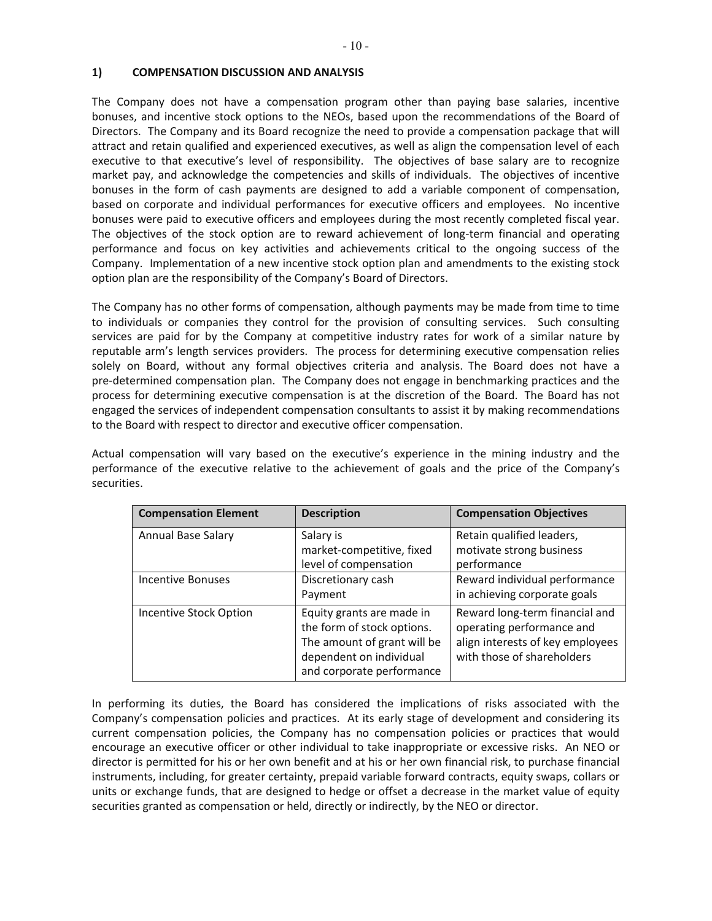## **1) COMPENSATION DISCUSSION AND ANALYSIS**

The Company does not have a compensation program other than paying base salaries, incentive bonuses, and incentive stock options to the NEOs, based upon the recommendations of the Board of Directors. The Company and its Board recognize the need to provide a compensation package that will attract and retain qualified and experienced executives, as well as align the compensation level of each executive to that executive's level of responsibility. The objectives of base salary are to recognize market pay, and acknowledge the competencies and skills of individuals. The objectives of incentive bonuses in the form of cash payments are designed to add a variable component of compensation, based on corporate and individual performances for executive officers and employees. No incentive bonuses were paid to executive officers and employees during the most recently completed fiscal year. The objectives of the stock option are to reward achievement of long-term financial and operating performance and focus on key activities and achievements critical to the ongoing success of the Company. Implementation of a new incentive stock option plan and amendments to the existing stock option plan are the responsibility of the Company's Board of Directors.

The Company has no other forms of compensation, although payments may be made from time to time to individuals or companies they control for the provision of consulting services. Such consulting services are paid for by the Company at competitive industry rates for work of a similar nature by reputable arm's length services providers. The process for determining executive compensation relies solely on Board, without any formal objectives criteria and analysis. The Board does not have a pre-determined compensation plan. The Company does not engage in benchmarking practices and the process for determining executive compensation is at the discretion of the Board. The Board has not engaged the services of independent compensation consultants to assist it by making recommendations to the Board with respect to director and executive officer compensation.

Actual compensation will vary based on the executive's experience in the mining industry and the performance of the executive relative to the achievement of goals and the price of the Company's securities.

| <b>Compensation Element</b> | <b>Description</b>                                                                                                                             | <b>Compensation Objectives</b>                                                                                                |
|-----------------------------|------------------------------------------------------------------------------------------------------------------------------------------------|-------------------------------------------------------------------------------------------------------------------------------|
| Annual Base Salary          | Salary is<br>market-competitive, fixed<br>level of compensation                                                                                | Retain qualified leaders,<br>motivate strong business<br>performance                                                          |
| <b>Incentive Bonuses</b>    | Discretionary cash<br>Payment                                                                                                                  | Reward individual performance<br>in achieving corporate goals                                                                 |
| Incentive Stock Option      | Equity grants are made in<br>the form of stock options.<br>The amount of grant will be<br>dependent on individual<br>and corporate performance | Reward long-term financial and<br>operating performance and<br>align interests of key employees<br>with those of shareholders |

In performing its duties, the Board has considered the implications of risks associated with the Company's compensation policies and practices. At its early stage of development and considering its current compensation policies, the Company has no compensation policies or practices that would encourage an executive officer or other individual to take inappropriate or excessive risks. An NEO or director is permitted for his or her own benefit and at his or her own financial risk, to purchase financial instruments, including, for greater certainty, prepaid variable forward contracts, equity swaps, collars or units or exchange funds, that are designed to hedge or offset a decrease in the market value of equity securities granted as compensation or held, directly or indirectly, by the NEO or director.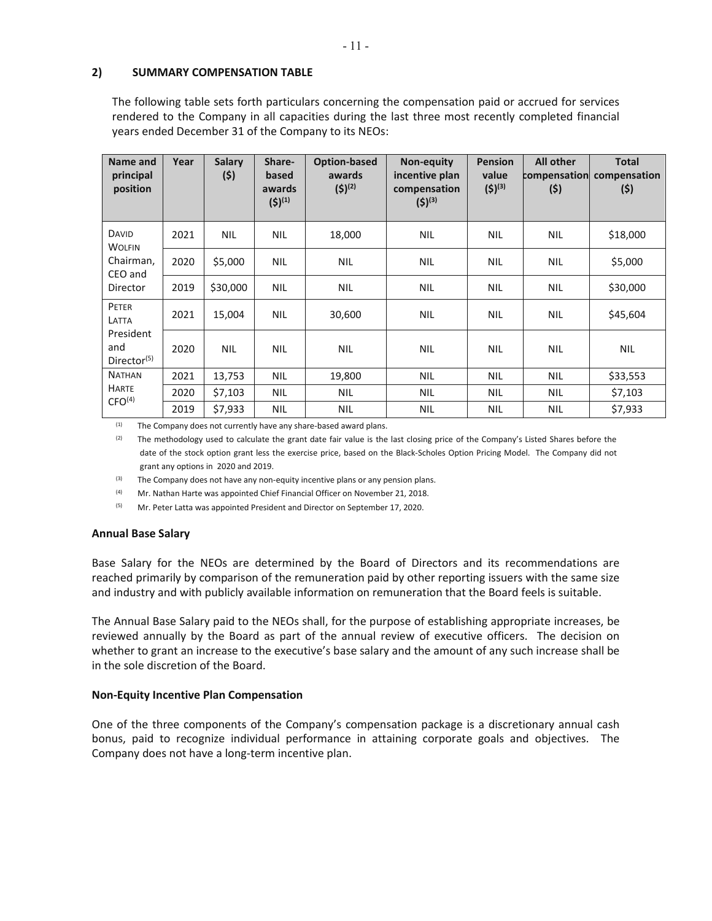## **2) SUMMARY COMPENSATION TABLE**

The following table sets forth particulars concerning the compensation paid or accrued for services rendered to the Company in all capacities during the last three most recently completed financial years ended December 31 of the Company to its NEOs:

| Name and<br>principal<br>position           | Year | <b>Salary</b><br>(5) | Share-<br>based<br>awards<br>$(5)^{(1)}$ | Option-based<br>awards<br>$(5)^{(2)}$ | Non-equity<br>incentive plan<br>compensation<br>$(5)^{(3)}$ | <b>Pension</b><br>value<br>$(5)^{(3)}$ | <b>All other</b><br>compensation<br>(5) | <b>Total</b><br>compensation<br>(5) |
|---------------------------------------------|------|----------------------|------------------------------------------|---------------------------------------|-------------------------------------------------------------|----------------------------------------|-----------------------------------------|-------------------------------------|
| <b>DAVID</b><br><b>WOLFIN</b>               | 2021 | <b>NIL</b>           | <b>NIL</b>                               | 18,000                                | <b>NIL</b>                                                  | <b>NIL</b>                             | <b>NIL</b>                              | \$18,000                            |
| Chairman,<br>CEO and                        | 2020 | \$5,000              | <b>NIL</b>                               | <b>NIL</b>                            | <b>NIL</b>                                                  | <b>NIL</b>                             | <b>NIL</b>                              | \$5,000                             |
| Director                                    | 2019 | \$30,000             | <b>NIL</b>                               | <b>NIL</b>                            | NIL                                                         | <b>NIL</b>                             | NIL                                     | \$30,000                            |
| PETER<br>LATTA                              | 2021 | 15,004               | <b>NIL</b>                               | 30,600                                | <b>NIL</b>                                                  | <b>NIL</b>                             | <b>NIL</b>                              | \$45,604                            |
| President<br>and<br>Director <sup>(5)</sup> | 2020 | <b>NIL</b>           | <b>NIL</b>                               | <b>NIL</b>                            | <b>NIL</b>                                                  | <b>NIL</b>                             | <b>NIL</b>                              | <b>NIL</b>                          |
| <b>NATHAN</b>                               | 2021 | 13,753               | <b>NIL</b>                               | 19,800                                | <b>NIL</b>                                                  | <b>NIL</b>                             | NIL                                     | \$33,553                            |
| <b>HARTE</b>                                | 2020 | \$7,103              | <b>NIL</b>                               | <b>NIL</b>                            | NIL                                                         | <b>NIL</b>                             | NIL                                     | \$7,103                             |
| CFO <sup>(4)</sup>                          | 2019 | \$7,933              | <b>NIL</b>                               | <b>NIL</b>                            | <b>NIL</b>                                                  | <b>NIL</b>                             | <b>NIL</b>                              | \$7,933                             |

 $(1)$  The Company does not currently have any share-based award plans.

(2) The methodology used to calculate the grant date fair value is the last closing price of the Company's Listed Shares before the date of the stock option grant less the exercise price, based on the Black-Scholes Option Pricing Model. The Company did not grant any options in 2020 and 2019.

 $(3)$  The Company does not have any non-equity incentive plans or any pension plans.

(4) Mr. Nathan Harte was appointed Chief Financial Officer on November 21, 2018.

(5) Mr. Peter Latta was appointed President and Director on September 17, 2020.

### **Annual Base Salary**

Base Salary for the NEOs are determined by the Board of Directors and its recommendations are reached primarily by comparison of the remuneration paid by other reporting issuers with the same size and industry and with publicly available information on remuneration that the Board feels is suitable.

The Annual Base Salary paid to the NEOs shall, for the purpose of establishing appropriate increases, be reviewed annually by the Board as part of the annual review of executive officers. The decision on whether to grant an increase to the executive's base salary and the amount of any such increase shall be in the sole discretion of the Board.

### **Non-Equity Incentive Plan Compensation**

One of the three components of the Company's compensation package is a discretionary annual cash bonus, paid to recognize individual performance in attaining corporate goals and objectives. The Company does not have a long-term incentive plan.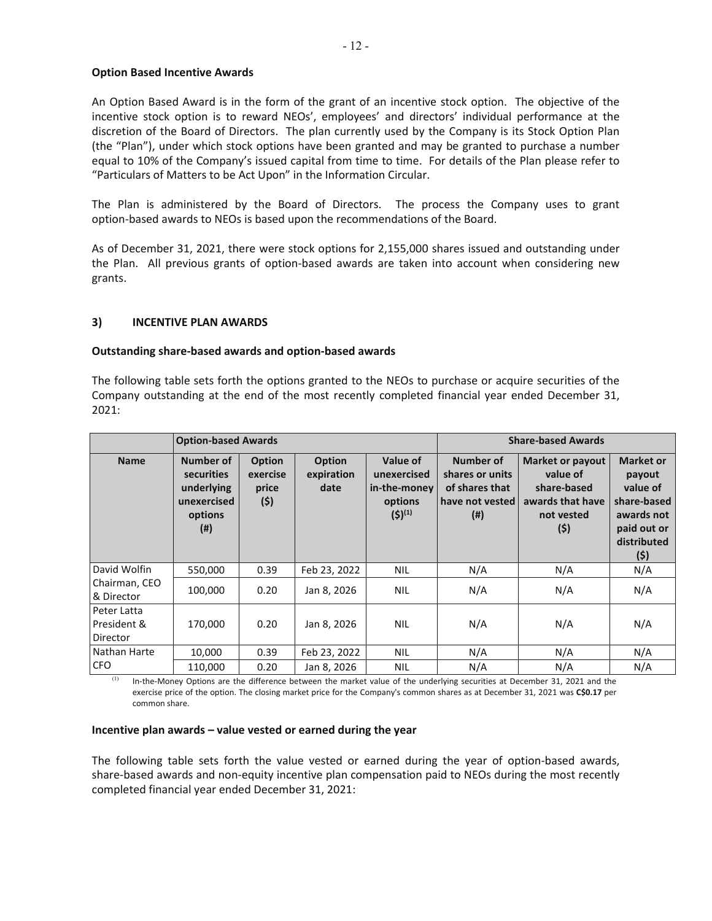#### **Option Based Incentive Awards**

An Option Based Award is in the form of the grant of an incentive stock option. The objective of the incentive stock option is to reward NEOs', employees' and directors' individual performance at the discretion of the Board of Directors. The plan currently used by the Company is its Stock Option Plan (the "Plan"), under which stock options have been granted and may be granted to purchase a number equal to 10% of the Company's issued capital from time to time. For details of the Plan please refer to "Particulars of Matters to be Act Upon" in the Information Circular.

The Plan is administered by the Board of Directors. The process the Company uses to grant option-based awards to NEOs is based upon the recommendations of the Board.

As of December 31, 2021, there were stock options for 2,155,000 shares issued and outstanding under the Plan. All previous grants of option-based awards are taken into account when considering new grants.

### **3) INCENTIVE PLAN AWARDS**

#### **Outstanding share-based awards and option-based awards**

The following table sets forth the options granted to the NEOs to purchase or acquire securities of the Company outstanding at the end of the most recently completed financial year ended December 31, 2021:

|                                          | <b>Option-based Awards</b>                                              |                                           |                                     | <b>Share-based Awards</b>                                         |                                                                             |                                                                                              |                                                                                                          |
|------------------------------------------|-------------------------------------------------------------------------|-------------------------------------------|-------------------------------------|-------------------------------------------------------------------|-----------------------------------------------------------------------------|----------------------------------------------------------------------------------------------|----------------------------------------------------------------------------------------------------------|
| <b>Name</b>                              | Number of<br>securities<br>underlying<br>unexercised<br>options<br>(# ) | <b>Option</b><br>exercise<br>price<br>(5) | <b>Option</b><br>expiration<br>date | Value of<br>unexercised<br>in-the-money<br>options<br>$(5)^{(1)}$ | Number of<br>shares or units<br>of shares that<br>have not vested<br>$($ #) | <b>Market or payout</b><br>value of<br>share-based<br>awards that have<br>not vested<br>(\$) | <b>Market or</b><br>payout<br>value of<br>share-based<br>awards not<br>paid out or<br>distributed<br>(5) |
| David Wolfin                             | 550,000                                                                 | 0.39                                      | Feb 23, 2022                        | <b>NIL</b>                                                        | N/A                                                                         | N/A                                                                                          | N/A                                                                                                      |
| Chairman, CEO<br>& Director              | 100,000                                                                 | 0.20                                      | Jan 8, 2026                         | <b>NIL</b>                                                        | N/A                                                                         | N/A                                                                                          | N/A                                                                                                      |
| Peter Latta<br>l President &<br>Director | 170,000                                                                 | 0.20                                      | Jan 8, 2026                         | <b>NIL</b>                                                        | N/A                                                                         | N/A                                                                                          | N/A                                                                                                      |
| Nathan Harte                             | 10,000                                                                  | 0.39                                      | Feb 23, 2022                        | <b>NIL</b>                                                        | N/A                                                                         | N/A                                                                                          | N/A                                                                                                      |
| <b>CFO</b>                               | 110,000                                                                 | 0.20                                      | Jan 8, 2026                         | <b>NIL</b>                                                        | N/A                                                                         | N/A                                                                                          | N/A                                                                                                      |

 $(1)$  In-the-Money Options are the difference between the market value of the underlying securities at December 31, 2021 and the exercise price of the option. The closing market price for the Company's common shares as at December 31, 2021 was **C\$0.17** per common share.

#### **Incentive plan awards – value vested or earned during the year**

The following table sets forth the value vested or earned during the year of option-based awards, share-based awards and non-equity incentive plan compensation paid to NEOs during the most recently completed financial year ended December 31, 2021: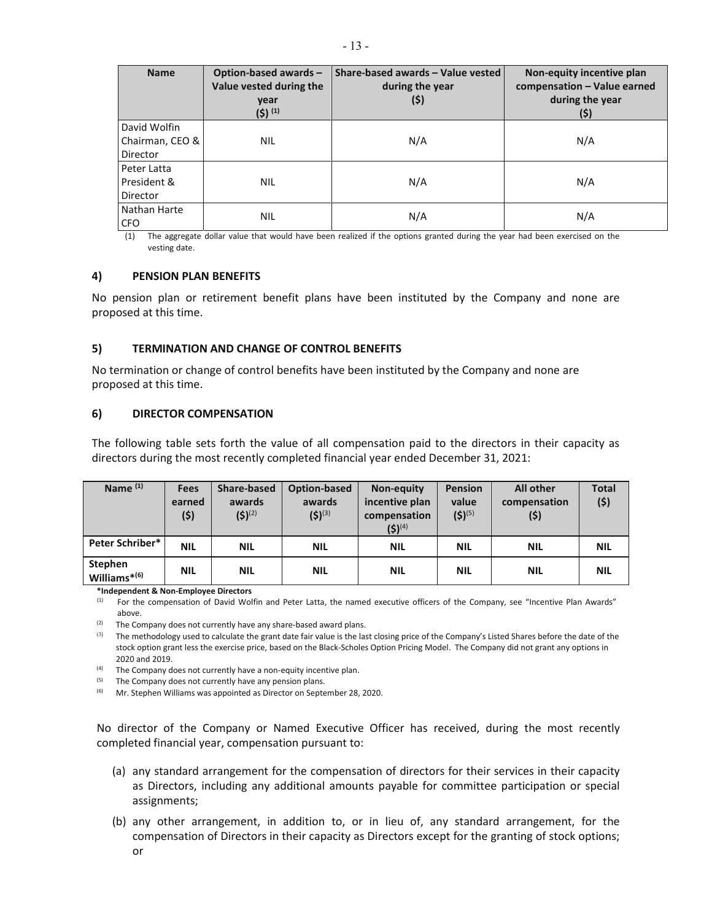| <b>Name</b>     | Option-based awards-<br>Value vested during the<br>year<br>$(5)^{(1)}$ | Share-based awards - Value vested<br>during the year<br>(\$) | Non-equity incentive plan<br>compensation - Value earned<br>during the year<br>(\$) |
|-----------------|------------------------------------------------------------------------|--------------------------------------------------------------|-------------------------------------------------------------------------------------|
| David Wolfin    |                                                                        |                                                              |                                                                                     |
| Chairman, CEO & | <b>NIL</b>                                                             | N/A                                                          | N/A                                                                                 |
| Director        |                                                                        |                                                              |                                                                                     |
| Peter Latta     |                                                                        |                                                              |                                                                                     |
| President &     | <b>NIL</b>                                                             | N/A                                                          | N/A                                                                                 |
| Director        |                                                                        |                                                              |                                                                                     |
| Nathan Harte    | <b>NIL</b>                                                             | N/A                                                          |                                                                                     |
| <b>CFO</b>      |                                                                        |                                                              | N/A                                                                                 |

(1) The aggregate dollar value that would have been realized if the options granted during the year had been exercised on the vesting date.

#### **4) PENSION PLAN BENEFITS**

No pension plan or retirement benefit plans have been instituted by the Company and none are proposed at this time.

#### **5) TERMINATION AND CHANGE OF CONTROL BENEFITS**

No termination or change of control benefits have been instituted by the Company and none are proposed at this time.

#### **6) DIRECTOR COMPENSATION**

The following table sets forth the value of all compensation paid to the directors in their capacity as directors during the most recently completed financial year ended December 31, 2021:

| Name <sup>(1)</sup>                           | <b>Fees</b><br>earned<br>(5) | <b>Share-based</b><br>awards<br>$(5)^{(2)}$ | Option-based<br>awards<br>$(5)^{(3)}$ | Non-equity<br>incentive plan<br>compensation | <b>Pension</b><br>value<br>$(5)^{(5)}$ | <b>All other</b><br>compensation<br>(5) | <b>Total</b><br>(\$) |
|-----------------------------------------------|------------------------------|---------------------------------------------|---------------------------------------|----------------------------------------------|----------------------------------------|-----------------------------------------|----------------------|
|                                               |                              |                                             |                                       | $(5)^{(4)}$                                  |                                        |                                         |                      |
| <b>Peter Schriber*</b>                        | <b>NIL</b>                   | <b>NIL</b>                                  | <b>NIL</b>                            | <b>NIL</b>                                   | <b>NIL</b>                             | <b>NIL</b>                              | <b>NIL</b>           |
| <b>Stephen</b><br>Williams $*$ <sup>(6)</sup> | <b>NIL</b>                   | <b>NIL</b>                                  | <b>NIL</b>                            | <b>NIL</b>                                   | <b>NIL</b>                             | <b>NIL</b>                              | <b>NIL</b>           |

**\*Independent & Non-Employee Directors** 

<sup>(1)</sup> For the compensation of David Wolfin and Peter Latta, the named executive officers of the Company, see "Incentive Plan Awards" above.

 $(2)$  The Company does not currently have any share-based award plans.

 $(3)$  The methodology used to calculate the grant date fair value is the last closing price of the Company's Listed Shares before the date of the stock option grant less the exercise price, based on the Black-Scholes Option Pricing Model. The Company did not grant any options in 2020 and 2019.

(4) The Company does not currently have a non-equity incentive plan.<br>
(5) The Company does not currently have any pension plans.<br>
(6) Mr. Stephen Williams was appointed as Director on September 28, 2020.

No director of the Company or Named Executive Officer has received, during the most recently completed financial year, compensation pursuant to:

- (a) any standard arrangement for the compensation of directors for their services in their capacity as Directors, including any additional amounts payable for committee participation or special assignments;
- (b) any other arrangement, in addition to, or in lieu of, any standard arrangement, for the compensation of Directors in their capacity as Directors except for the granting of stock options; or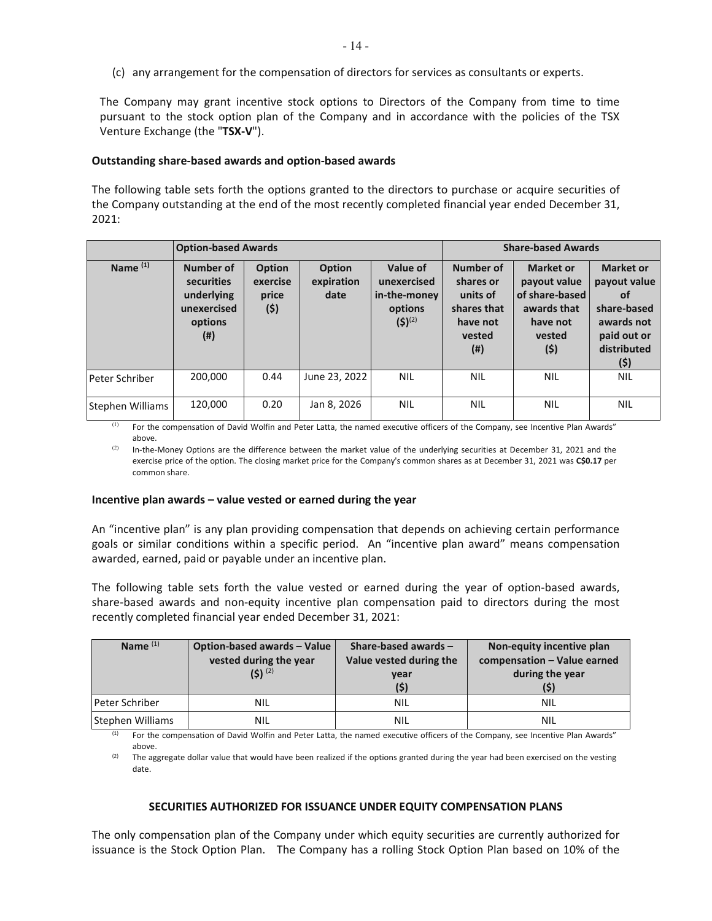(c) any arrangement for the compensation of directors for services as consultants or experts.

The Company may grant incentive stock options to Directors of the Company from time to time pursuant to the stock option plan of the Company and in accordance with the policies of the TSX Venture Exchange (the "**TSX-V**").

#### **Outstanding share-based awards and option-based awards**

The following table sets forth the options granted to the directors to purchase or acquire securities of the Company outstanding at the end of the most recently completed financial year ended December 31, 2021:

|                     | <b>Option-based Awards</b>                                             |                                           |                                     |                                                                   | <b>Share-based Awards</b>                                                       |                                                                                                |                                                                                                                  |
|---------------------|------------------------------------------------------------------------|-------------------------------------------|-------------------------------------|-------------------------------------------------------------------|---------------------------------------------------------------------------------|------------------------------------------------------------------------------------------------|------------------------------------------------------------------------------------------------------------------|
| Name <sup>(1)</sup> | Number of<br>securities<br>underlying<br>unexercised<br>options<br>(#) | <b>Option</b><br>exercise<br>price<br>(5) | <b>Option</b><br>expiration<br>date | Value of<br>unexercised<br>in-the-money<br>options<br>$(5)^{(2)}$ | Number of<br>shares or<br>units of<br>shares that<br>have not<br>vested<br>(# ) | <b>Market or</b><br>payout value<br>of share-based<br>awards that<br>have not<br>vested<br>(5) | <b>Market or</b><br>payout value<br><b>of</b><br>share-based<br>awards not<br>paid out or<br>distributed<br>(\$) |
| Peter Schriber      | 200,000                                                                | 0.44                                      | June 23, 2022                       | <b>NIL</b>                                                        | <b>NIL</b>                                                                      | <b>NIL</b>                                                                                     | <b>NIL</b>                                                                                                       |
| Stephen Williams    | 120,000                                                                | 0.20                                      | Jan 8, 2026                         | <b>NIL</b>                                                        | <b>NIL</b>                                                                      | <b>NIL</b>                                                                                     | <b>NIL</b>                                                                                                       |

<sup>(1)</sup> For the compensation of David Wolfin and Peter Latta, the named executive officers of the Company, see Incentive Plan Awards" above.

In-the-Money Options are the difference between the market value of the underlying securities at December 31, 2021 and the exercise price of the option. The closing market price for the Company's common shares as at December 31, 2021 was **C\$0.17** per common share.

#### **Incentive plan awards – value vested or earned during the year**

An "incentive plan" is any plan providing compensation that depends on achieving certain performance goals or similar conditions within a specific period. An "incentive plan award" means compensation awarded, earned, paid or payable under an incentive plan.

The following table sets forth the value vested or earned during the year of option-based awards, share-based awards and non-equity incentive plan compensation paid to directors during the most recently completed financial year ended December 31, 2021:

| Name $(1)$            | Option-based awards - Value<br>vested during the year<br>$(5)$ $(2)$ | Share-based awards $-$<br>Value vested during the<br>vear | Non-equity incentive plan<br>compensation - Value earned<br>during the year |
|-----------------------|----------------------------------------------------------------------|-----------------------------------------------------------|-----------------------------------------------------------------------------|
| <b>Peter Schriber</b> | NIL                                                                  | <b>NIL</b>                                                | NIL                                                                         |
| Stephen Williams      | <b>NIL</b>                                                           | NIL                                                       | NIL                                                                         |

<sup>&</sup>lt;sup>(1)</sup> For the compensation of David Wolfin and Peter Latta, the named executive officers of the Company, see Incentive Plan Awards"

above.<br>(2) The aggregate dollar value that would have been realized if the options granted during the year had been exercised on the vesting date.

### **SECURITIES AUTHORIZED FOR ISSUANCE UNDER EQUITY COMPENSATION PLANS**

The only compensation plan of the Company under which equity securities are currently authorized for issuance is the Stock Option Plan. The Company has a rolling Stock Option Plan based on 10% of the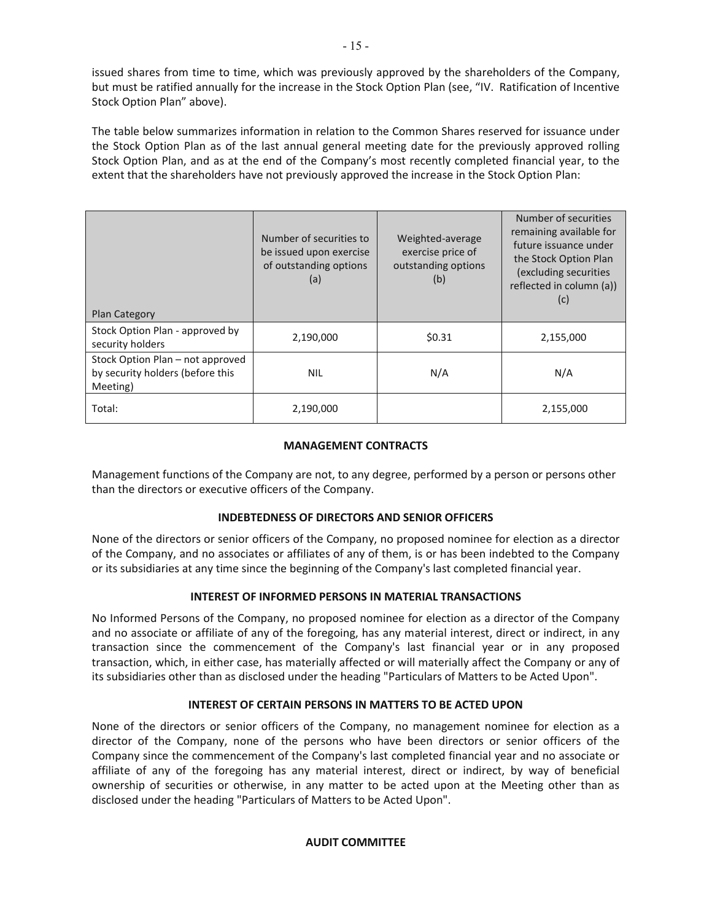issued shares from time to time, which was previously approved by the shareholders of the Company, but must be ratified annually for the increase in the Stock Option Plan (see, "IV. Ratification of Incentive Stock Option Plan" above).

The table below summarizes information in relation to the Common Shares reserved for issuance under the Stock Option Plan as of the last annual general meeting date for the previously approved rolling Stock Option Plan, and as at the end of the Company's most recently completed financial year, to the extent that the shareholders have not previously approved the increase in the Stock Option Plan:

| <b>Plan Category</b>                                                             | Number of securities to<br>be issued upon exercise<br>of outstanding options<br>(a) | Weighted-average<br>exercise price of<br>outstanding options<br>(b) | Number of securities<br>remaining available for<br>future issuance under<br>the Stock Option Plan<br>(excluding securities<br>reflected in column (a))<br>(c) |
|----------------------------------------------------------------------------------|-------------------------------------------------------------------------------------|---------------------------------------------------------------------|---------------------------------------------------------------------------------------------------------------------------------------------------------------|
| Stock Option Plan - approved by<br>security holders                              | 2,190,000                                                                           | \$0.31                                                              | 2,155,000                                                                                                                                                     |
| Stock Option Plan - not approved<br>by security holders (before this<br>Meeting) | <b>NIL</b>                                                                          | N/A                                                                 | N/A                                                                                                                                                           |
| Total:                                                                           | 2,190,000                                                                           |                                                                     | 2,155,000                                                                                                                                                     |

### **MANAGEMENT CONTRACTS**

Management functions of the Company are not, to any degree, performed by a person or persons other than the directors or executive officers of the Company.

## **INDEBTEDNESS OF DIRECTORS AND SENIOR OFFICERS**

None of the directors or senior officers of the Company, no proposed nominee for election as a director of the Company, and no associates or affiliates of any of them, is or has been indebted to the Company or its subsidiaries at any time since the beginning of the Company's last completed financial year.

### **INTEREST OF INFORMED PERSONS IN MATERIAL TRANSACTIONS**

No Informed Persons of the Company, no proposed nominee for election as a director of the Company and no associate or affiliate of any of the foregoing, has any material interest, direct or indirect, in any transaction since the commencement of the Company's last financial year or in any proposed transaction, which, in either case, has materially affected or will materially affect the Company or any of its subsidiaries other than as disclosed under the heading "Particulars of Matters to be Acted Upon".

### **INTEREST OF CERTAIN PERSONS IN MATTERS TO BE ACTED UPON**

None of the directors or senior officers of the Company, no management nominee for election as a director of the Company, none of the persons who have been directors or senior officers of the Company since the commencement of the Company's last completed financial year and no associate or affiliate of any of the foregoing has any material interest, direct or indirect, by way of beneficial ownership of securities or otherwise, in any matter to be acted upon at the Meeting other than as disclosed under the heading "Particulars of Matters to be Acted Upon".

### **AUDIT COMMITTEE**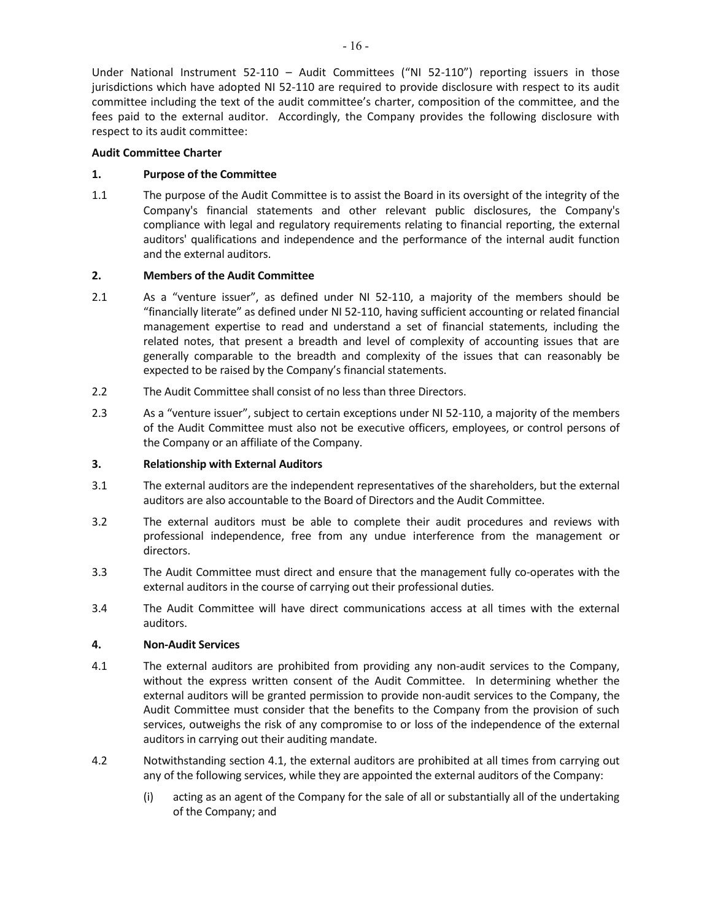Under National Instrument 52-110 – Audit Committees ("NI 52-110") reporting issuers in those jurisdictions which have adopted NI 52-110 are required to provide disclosure with respect to its audit committee including the text of the audit committee's charter, composition of the committee, and the fees paid to the external auditor. Accordingly, the Company provides the following disclosure with respect to its audit committee:

## **Audit Committee Charter**

## **1. Purpose of the Committee**

1.1 The purpose of the Audit Committee is to assist the Board in its oversight of the integrity of the Company's financial statements and other relevant public disclosures, the Company's compliance with legal and regulatory requirements relating to financial reporting, the external auditors' qualifications and independence and the performance of the internal audit function and the external auditors.

## **2. Members of the Audit Committee**

- 2.1 As a "venture issuer", as defined under NI 52-110, a majority of the members should be "financially literate" as defined under NI 52-110, having sufficient accounting or related financial management expertise to read and understand a set of financial statements, including the related notes, that present a breadth and level of complexity of accounting issues that are generally comparable to the breadth and complexity of the issues that can reasonably be expected to be raised by the Company's financial statements.
- 2.2 The Audit Committee shall consist of no less than three Directors.
- 2.3 As a "venture issuer", subject to certain exceptions under NI 52-110, a majority of the members of the Audit Committee must also not be executive officers, employees, or control persons of the Company or an affiliate of the Company.

## **3. Relationship with External Auditors**

- 3.1 The external auditors are the independent representatives of the shareholders, but the external auditors are also accountable to the Board of Directors and the Audit Committee.
- 3.2 The external auditors must be able to complete their audit procedures and reviews with professional independence, free from any undue interference from the management or directors.
- 3.3 The Audit Committee must direct and ensure that the management fully co-operates with the external auditors in the course of carrying out their professional duties.
- 3.4 The Audit Committee will have direct communications access at all times with the external auditors.

## **4. Non-Audit Services**

- 4.1 The external auditors are prohibited from providing any non-audit services to the Company, without the express written consent of the Audit Committee. In determining whether the external auditors will be granted permission to provide non-audit services to the Company, the Audit Committee must consider that the benefits to the Company from the provision of such services, outweighs the risk of any compromise to or loss of the independence of the external auditors in carrying out their auditing mandate.
- 4.2 Notwithstanding section 4.1, the external auditors are prohibited at all times from carrying out any of the following services, while they are appointed the external auditors of the Company:
	- (i) acting as an agent of the Company for the sale of all or substantially all of the undertaking of the Company; and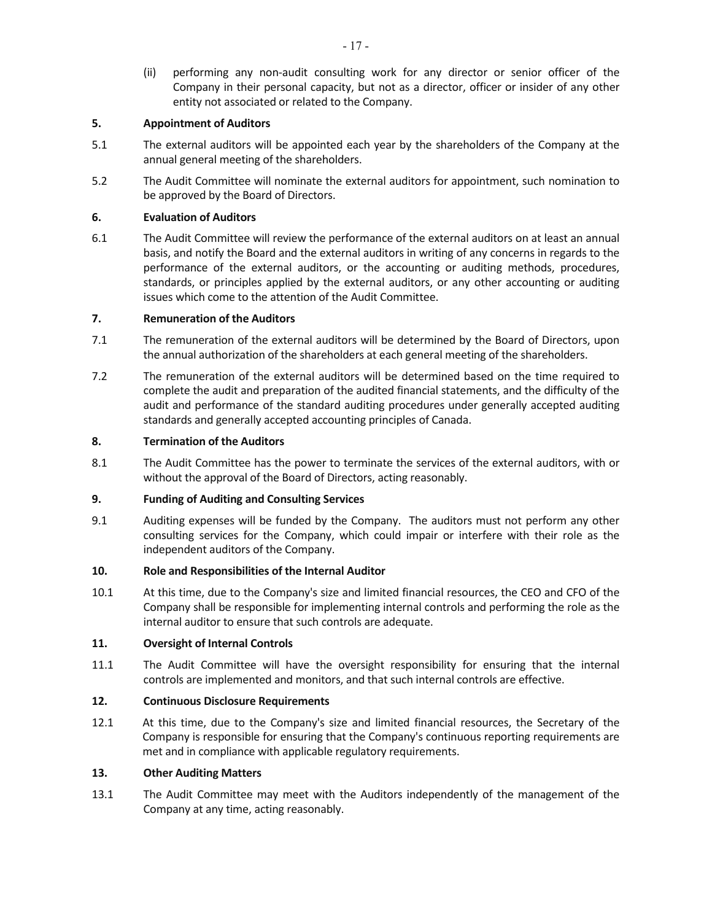(ii) performing any non-audit consulting work for any director or senior officer of the Company in their personal capacity, but not as a director, officer or insider of any other entity not associated or related to the Company.

## **5. Appointment of Auditors**

- 5.1 The external auditors will be appointed each year by the shareholders of the Company at the annual general meeting of the shareholders.
- 5.2 The Audit Committee will nominate the external auditors for appointment, such nomination to be approved by the Board of Directors.

## **6. Evaluation of Auditors**

6.1 The Audit Committee will review the performance of the external auditors on at least an annual basis, and notify the Board and the external auditors in writing of any concerns in regards to the performance of the external auditors, or the accounting or auditing methods, procedures, standards, or principles applied by the external auditors, or any other accounting or auditing issues which come to the attention of the Audit Committee.

## **7. Remuneration of the Auditors**

- 7.1 The remuneration of the external auditors will be determined by the Board of Directors, upon the annual authorization of the shareholders at each general meeting of the shareholders.
- 7.2 The remuneration of the external auditors will be determined based on the time required to complete the audit and preparation of the audited financial statements, and the difficulty of the audit and performance of the standard auditing procedures under generally accepted auditing standards and generally accepted accounting principles of Canada.

### **8. Termination of the Auditors**

8.1 The Audit Committee has the power to terminate the services of the external auditors, with or without the approval of the Board of Directors, acting reasonably.

## **9. Funding of Auditing and Consulting Services**

9.1 Auditing expenses will be funded by the Company. The auditors must not perform any other consulting services for the Company, which could impair or interfere with their role as the independent auditors of the Company.

### **10. Role and Responsibilities of the Internal Auditor**

10.1 At this time, due to the Company's size and limited financial resources, the CEO and CFO of the Company shall be responsible for implementing internal controls and performing the role as the internal auditor to ensure that such controls are adequate.

### **11. Oversight of Internal Controls**

11.1 The Audit Committee will have the oversight responsibility for ensuring that the internal controls are implemented and monitors, and that such internal controls are effective.

## **12. Continuous Disclosure Requirements**

12.1 At this time, due to the Company's size and limited financial resources, the Secretary of the Company is responsible for ensuring that the Company's continuous reporting requirements are met and in compliance with applicable regulatory requirements.

### **13. Other Auditing Matters**

13.1 The Audit Committee may meet with the Auditors independently of the management of the Company at any time, acting reasonably.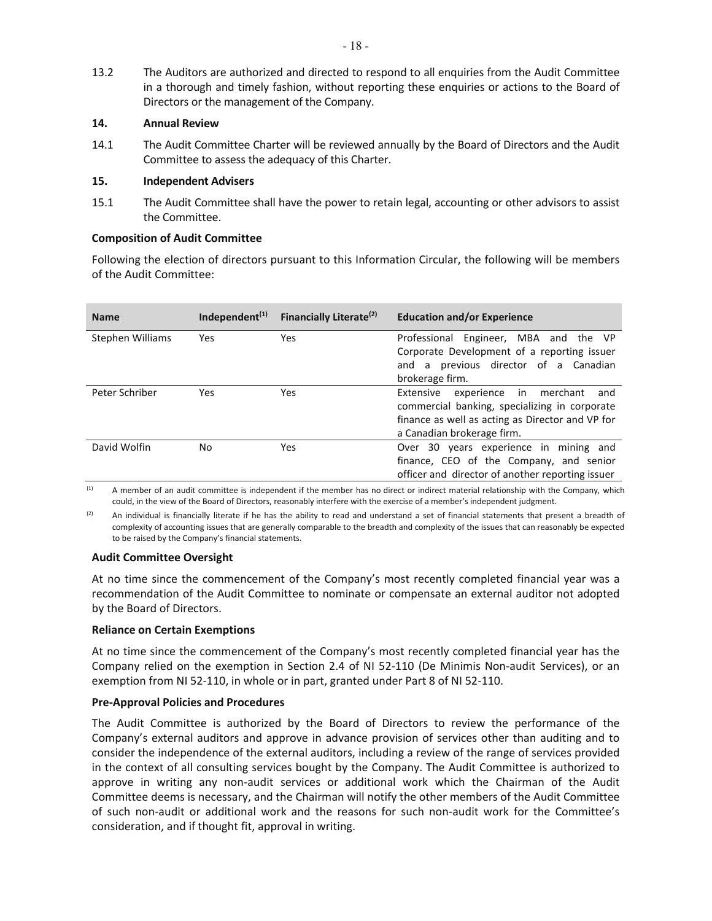13.2 The Auditors are authorized and directed to respond to all enquiries from the Audit Committee in a thorough and timely fashion, without reporting these enquiries or actions to the Board of Directors or the management of the Company.

### **14. Annual Review**

14.1 The Audit Committee Charter will be reviewed annually by the Board of Directors and the Audit Committee to assess the adequacy of this Charter.

#### **15. Independent Advisers**

15.1 The Audit Committee shall have the power to retain legal, accounting or other advisors to assist the Committee.

#### **Composition of Audit Committee**

Following the election of directors pursuant to this Information Circular, the following will be members of the Audit Committee:

| <b>Name</b>      | Independent <sup>(1)</sup> | Financially Literate <sup>(2)</sup> | <b>Education and/or Experience</b>                                                                                                                                                  |
|------------------|----------------------------|-------------------------------------|-------------------------------------------------------------------------------------------------------------------------------------------------------------------------------------|
| Stephen Williams | Yes                        | Yes                                 | Engineer, MBA and<br>Professional<br>the VP<br>Corporate Development of a reporting issuer<br>previous director of a Canadian<br>and a<br>brokerage firm.                           |
| Peter Schriber   | Yes                        | Yes                                 | in<br>Extensive<br>experience<br>merchant<br>and<br>commercial banking, specializing in corporate<br>finance as well as acting as Director and VP for<br>a Canadian brokerage firm. |
| David Wolfin     | No.                        | Yes                                 | Over 30 years experience in mining and<br>finance, CEO of the Company, and senior<br>officer and director of another reporting issuer                                               |

<sup>(1)</sup> A member of an audit committee is independent if the member has no direct or indirect material relationship with the Company, which could, in the view of the Board of Directors, reasonably interfere with the exercise of a member's independent judgment.

(2) An individual is financially literate if he has the ability to read and understand a set of financial statements that present a breadth of complexity of accounting issues that are generally comparable to the breadth and complexity of the issues that can reasonably be expected to be raised by the Company's financial statements.

### **Audit Committee Oversight**

At no time since the commencement of the Company's most recently completed financial year was a recommendation of the Audit Committee to nominate or compensate an external auditor not adopted by the Board of Directors.

### **Reliance on Certain Exemptions**

At no time since the commencement of the Company's most recently completed financial year has the Company relied on the exemption in Section 2.4 of NI 52-110 (De Minimis Non-audit Services), or an exemption from NI 52-110, in whole or in part, granted under Part 8 of NI 52-110.

### **Pre-Approval Policies and Procedures**

The Audit Committee is authorized by the Board of Directors to review the performance of the Company's external auditors and approve in advance provision of services other than auditing and to consider the independence of the external auditors, including a review of the range of services provided in the context of all consulting services bought by the Company. The Audit Committee is authorized to approve in writing any non-audit services or additional work which the Chairman of the Audit Committee deems is necessary, and the Chairman will notify the other members of the Audit Committee of such non-audit or additional work and the reasons for such non-audit work for the Committee's consideration, and if thought fit, approval in writing.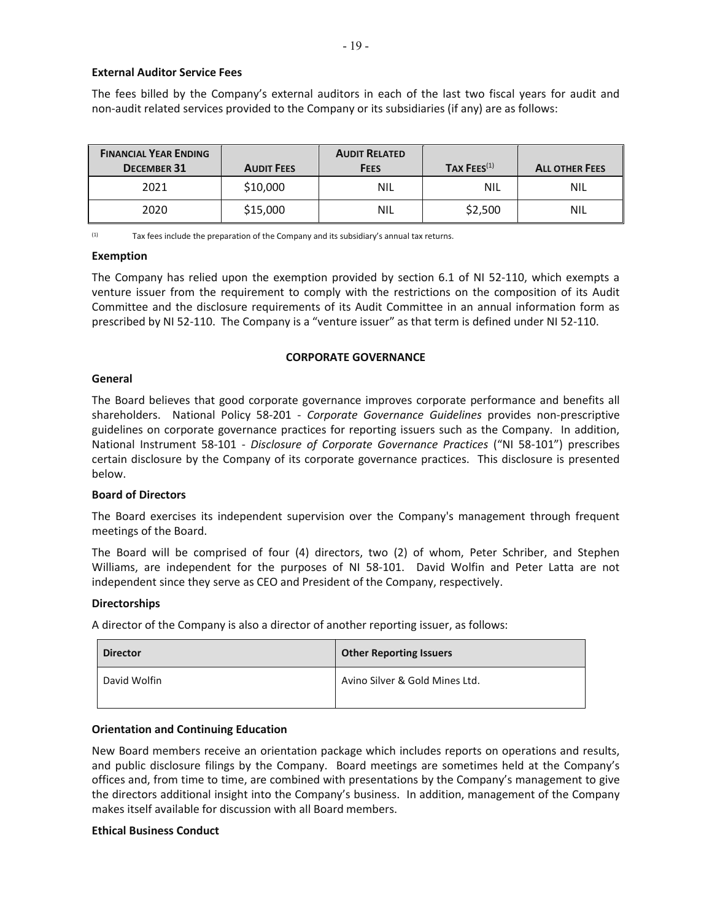#### **External Auditor Service Fees**

The fees billed by the Company's external auditors in each of the last two fiscal years for audit and non-audit related services provided to the Company or its subsidiaries (if any) are as follows:

| <b>FINANCIAL YEAR ENDING</b><br><b>DECEMBER 31</b> | <b>AUDIT FEES</b> | <b>AUDIT RELATED</b><br><b>FEES</b> | TAX $FEES(1)$ | <b>ALL OTHER FEES</b> |
|----------------------------------------------------|-------------------|-------------------------------------|---------------|-----------------------|
| 2021                                               | \$10,000          | <b>NIL</b>                          | NIL           | <b>NIL</b>            |
| 2020                                               | \$15,000          | <b>NIL</b>                          | \$2,500       | <b>NIL</b>            |

 $(1)$  Tax fees include the preparation of the Company and its subsidiary's annual tax returns.

#### **Exemption**

The Company has relied upon the exemption provided by section 6.1 of NI 52-110, which exempts a venture issuer from the requirement to comply with the restrictions on the composition of its Audit Committee and the disclosure requirements of its Audit Committee in an annual information form as prescribed by NI 52-110. The Company is a "venture issuer" as that term is defined under NI 52-110.

#### **CORPORATE GOVERNANCE**

#### **General**

The Board believes that good corporate governance improves corporate performance and benefits all shareholders. National Policy 58-201 - *Corporate Governance Guidelines* provides non-prescriptive guidelines on corporate governance practices for reporting issuers such as the Company. In addition, National Instrument 58-101 - *Disclosure of Corporate Governance Practices* ("NI 58-101") prescribes certain disclosure by the Company of its corporate governance practices. This disclosure is presented below.

#### **Board of Directors**

The Board exercises its independent supervision over the Company's management through frequent meetings of the Board.

The Board will be comprised of four (4) directors, two (2) of whom, Peter Schriber, and Stephen Williams, are independent for the purposes of NI 58-101. David Wolfin and Peter Latta are not independent since they serve as CEO and President of the Company, respectively.

#### **Directorships**

A director of the Company is also a director of another reporting issuer, as follows:

| <b>Director</b> | <b>Other Reporting Issuers</b> |  |  |  |  |
|-----------------|--------------------------------|--|--|--|--|
| David Wolfin    | Avino Silver & Gold Mines Ltd. |  |  |  |  |

#### **Orientation and Continuing Education**

New Board members receive an orientation package which includes reports on operations and results, and public disclosure filings by the Company. Board meetings are sometimes held at the Company's offices and, from time to time, are combined with presentations by the Company's management to give the directors additional insight into the Company's business. In addition, management of the Company makes itself available for discussion with all Board members.

#### **Ethical Business Conduct**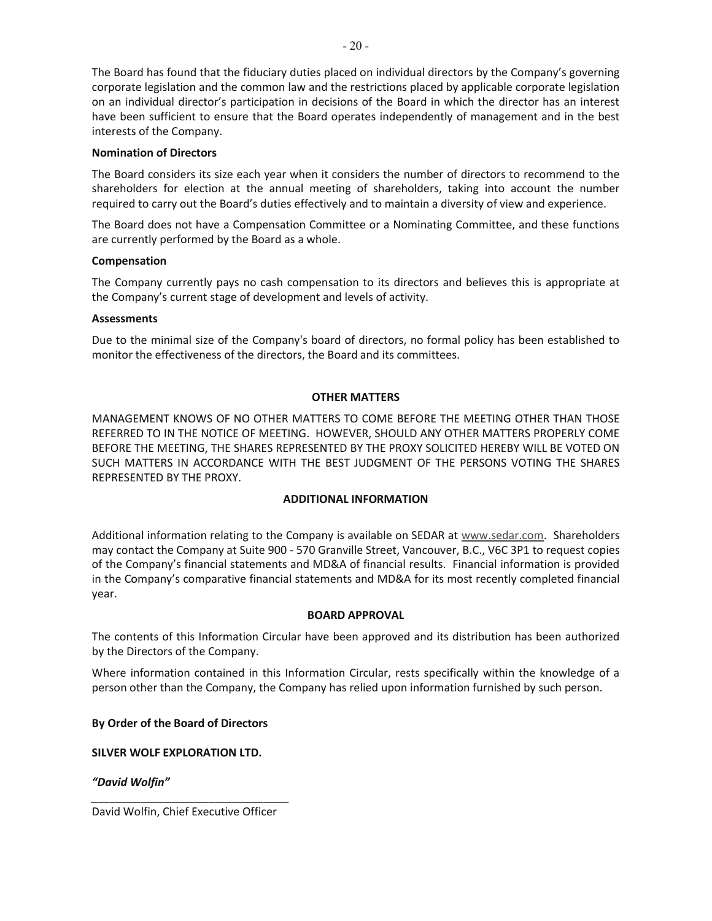$-20-$ 

The Board has found that the fiduciary duties placed on individual directors by the Company's governing corporate legislation and the common law and the restrictions placed by applicable corporate legislation on an individual director's participation in decisions of the Board in which the director has an interest have been sufficient to ensure that the Board operates independently of management and in the best interests of the Company.

## **Nomination of Directors**

The Board considers its size each year when it considers the number of directors to recommend to the shareholders for election at the annual meeting of shareholders, taking into account the number required to carry out the Board's duties effectively and to maintain a diversity of view and experience.

The Board does not have a Compensation Committee or a Nominating Committee, and these functions are currently performed by the Board as a whole.

## **Compensation**

The Company currently pays no cash compensation to its directors and believes this is appropriate at the Company's current stage of development and levels of activity.

## **Assessments**

Due to the minimal size of the Company's board of directors, no formal policy has been established to monitor the effectiveness of the directors, the Board and its committees.

### **OTHER MATTERS**

MANAGEMENT KNOWS OF NO OTHER MATTERS TO COME BEFORE THE MEETING OTHER THAN THOSE REFERRED TO IN THE NOTICE OF MEETING. HOWEVER, SHOULD ANY OTHER MATTERS PROPERLY COME BEFORE THE MEETING, THE SHARES REPRESENTED BY THE PROXY SOLICITED HEREBY WILL BE VOTED ON SUCH MATTERS IN ACCORDANCE WITH THE BEST JUDGMENT OF THE PERSONS VOTING THE SHARES REPRESENTED BY THE PROXY.

### **ADDITIONAL INFORMATION**

Additional information relating to the Company is available on SEDAR at www.sedar.com. Shareholders may contact the Company at Suite 900 - 570 Granville Street, Vancouver, B.C., V6C 3P1 to request copies of the Company's financial statements and MD&A of financial results. Financial information is provided in the Company's comparative financial statements and MD&A for its most recently completed financial year.

### **BOARD APPROVAL**

The contents of this Information Circular have been approved and its distribution has been authorized by the Directors of the Company.

Where information contained in this Information Circular, rests specifically within the knowledge of a person other than the Company, the Company has relied upon information furnished by such person.

## **By Order of the Board of Directors**

**SILVER WOLF EXPLORATION LTD.** 

*"David Wolfin"* 

*\_\_\_\_\_\_\_\_\_\_\_\_\_\_\_\_\_\_\_\_\_\_\_\_\_\_\_\_\_\_\_\_*  David Wolfin, Chief Executive Officer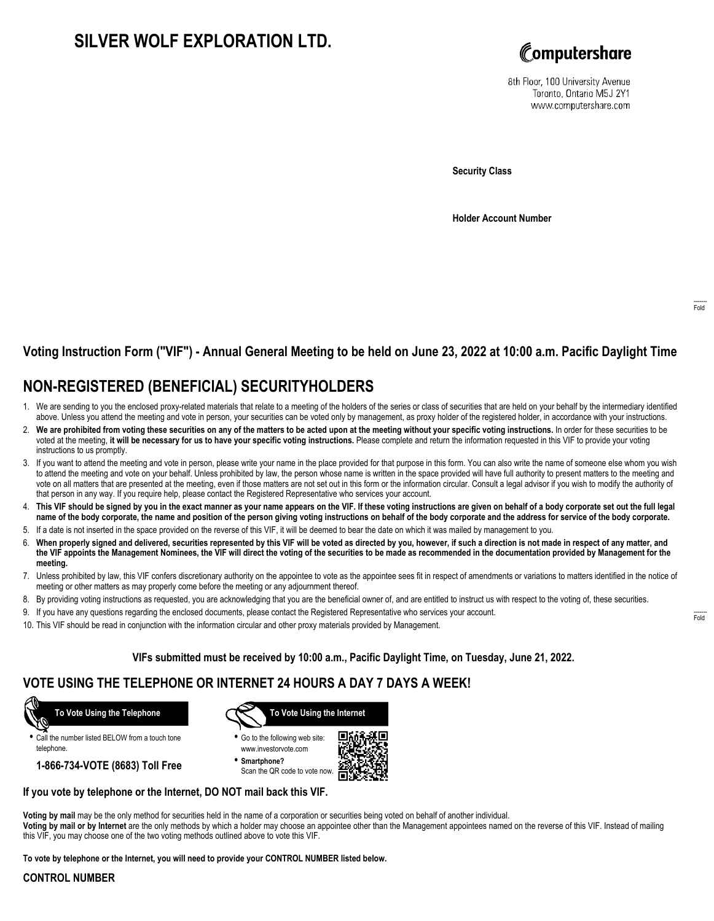# **SILVER WOLF EXPLORATION LTD.**



8th Floor, 100 University Avenue Toronto, Ontario M5J 2Y1 www.computershare.com

**Security Class**

**Holder Account Number**

## **Voting Instruction Form ("VIF") - Annual General Meeting to be held on June 23, 2022 at 10:00 a.m. Pacific Daylight Time**

# **NON-REGISTERED (BENEFICIAL) SECURITYHOLDERS**

- 1. We are sending to you the enclosed proxy-related materials that relate to a meeting of the holders of the series or class of securities that are held on your behalf by the intermediary identified above. Unless you attend the meeting and vote in person, your securities can be voted only by management, as proxy holder of the registered holder, in accordance with your instructions.
- 2. **We are prohibited from voting these securities on any of the matters to be acted upon at the meeting without your specific voting instructions.** In order for these securities to be voted at the meeting, **it will be necessary for us to have your specific voting instructions.** Please complete and return the information requested in this VIF to provide your voting instructions to us promptly.
- 3. If you want to attend the meeting and vote in person, please write your name in the place provided for that purpose in this form. You can also write the name of someone else whom you wish to attend the meeting and vote on your behalf. Unless prohibited by law, the person whose name is written in the space provided will have full authority to present matters to the meeting and vote on all matters that are presented at the meeting, even if those matters are not set out in this form or the information circular. Consult a legal advisor if you wish to modify the authority of that person in any way. If you require help, please contact the Registered Representative who services your account.
- 4. **This VIF should be signed by you in the exact manner as your name appears on the VIF. If these voting instructions are given on behalf of a body corporate set out the full legal name of the body corporate, the name and position of the person giving voting instructions on behalf of the body corporate and the address for service of the body corporate.**
- 5. If a date is not inserted in the space provided on the reverse of this VIF, it will be deemed to bear the date on which it was mailed by management to you.
- 6. **When properly signed and delivered, securities represented by this VIF will be voted as directed by you, however, if such a direction is not made in respect of any matter, and the VIF appoints the Management Nominees, the VIF will direct the voting of the securities to be made as recommended in the documentation provided by Management for the meeting.**
- 7. Unless prohibited by law, this VIF confers discretionary authority on the appointee to vote as the appointee sees fit in respect of amendments or variations to matters identified in the notice of meeting or other matters as may properly come before the meeting or any adjournment thereof.
- 8. By providing voting instructions as requested, you are acknowledging that you are the beneficial owner of, and are entitled to instruct us with respect to the voting of, these securities.
- 9. If you have any questions regarding the enclosed documents, please contact the Registered Representative who services your account.
- 10. This VIF should be read in conjunction with the information circular and other proxy materials provided by Management.

**VIFs submitted must be received by 10:00 a.m., Pacific Daylight Time, on Tuesday, June 21, 2022.**

## **VOTE USING THE TELEPHONE OR INTERNET 24 HOURS A DAY 7 DAYS A WEEK!**



**•** Call the number listed BELOW from a touch tone telephone.

**1-866-734-VOTE (8683) Toll Free**



**•** Go to the following web site: www.investorvote.com

**• Smartphone?** Scan the QR code to vote now.



#### **If you vote by telephone or the Internet, DO NOT mail back this VIF.**

**Voting by mail** may be the only method for securities held in the name of a corporation or securities being voted on behalf of another individual. **Voting by mail or by Internet** are the only methods by which a holder may choose an appointee other than the Management appointees named on the reverse of this VIF. Instead of mailing this VIF, you may choose one of the two voting methods outlined above to vote this VIF.

**To vote by telephone or the Internet, you will need to provide your CONTROL NUMBER listed below.**

#### **CONTROL NUMBER**